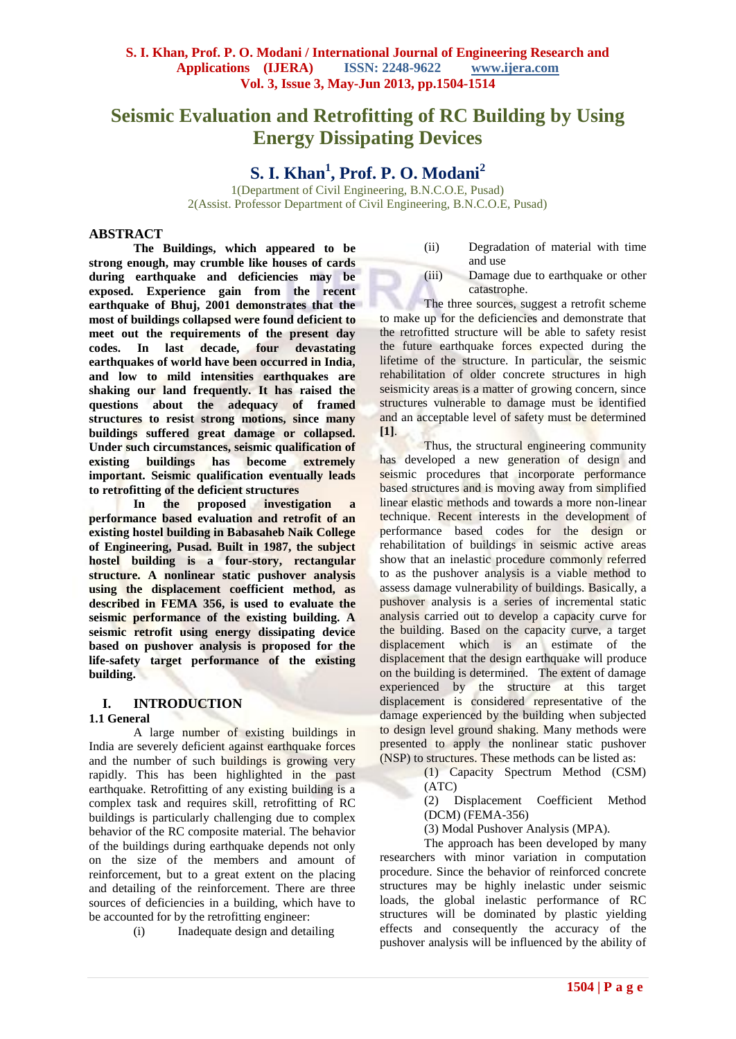# **Seismic Evaluation and Retrofitting of RC Building by Using Energy Dissipating Devices**

# **S. I. Khan<sup>1</sup> , Prof. P. O. Modani<sup>2</sup>**

1(Department of Civil Engineering, B.N.C.O.E, Pusad) 2(Assist. Professor Department of Civil Engineering, B.N.C.O.E, Pusad)

## **ABSTRACT**

**The Buildings, which appeared to be strong enough, may crumble like houses of cards during earthquake and deficiencies may be exposed. Experience gain from the recent earthquake of Bhuj, 2001 demonstrates that the most of buildings collapsed were found deficient to**  meet out the requirements of the present day<br>codes. In last decade, four devastating In last decade, four devastating **earthquakes of world have been occurred in India, and low to mild intensities earthquakes are shaking our land frequently. It has raised the questions about the adequacy of framed structures to resist strong motions, since many buildings suffered great damage or collapsed. Under such circumstances, seismic qualification of existing buildings has become extremely important. Seismic qualification eventually leads to retrofitting of the deficient structures** 

**In the proposed investigation a performance based evaluation and retrofit of an existing hostel building in Babasaheb Naik College of Engineering, Pusad. Built in 1987, the subject hostel building is a four-story, rectangular structure. A nonlinear static pushover analysis using the displacement coefficient method, as described in FEMA 356, is used to evaluate the seismic performance of the existing building. A seismic retrofit using energy dissipating device based on pushover analysis is proposed for the life-safety target performance of the existing building.**

## **I. INTRODUCTION**

#### **1.1 General**

A large number of existing buildings in India are severely deficient against earthquake forces and the number of such buildings is growing very rapidly. This has been highlighted in the past earthquake. Retrofitting of any existing building is a complex task and requires skill, retrofitting of RC buildings is particularly challenging due to complex behavior of the RC composite material. The behavior of the buildings during earthquake depends not only on the size of the members and amount of reinforcement, but to a great extent on the placing and detailing of the reinforcement. There are three sources of deficiencies in a building, which have to be accounted for by the retrofitting engineer:

(i) Inadequate design and detailing

#### (ii) Degradation of material with time and use

(iii) Damage due to earthquake or other catastrophe.

The three sources, suggest a retrofit scheme to make up for the deficiencies and demonstrate that the retrofitted structure will be able to safety resist the future earthquake forces expected during the lifetime of the structure. In particular, the seismic rehabilitation of older concrete structures in high seismicity areas is a matter of growing concern, since structures vulnerable to damage must be identified and an acceptable level of safety must be determined **[1]**.

Thus, the structural engineering community has developed a new generation of design and seismic procedures that incorporate performance based structures and is moving away from simplified linear elastic methods and towards a more non-linear technique. Recent interests in the development of performance based codes for the design or rehabilitation of buildings in seismic active areas show that an inelastic procedure commonly referred to as the pushover analysis is a viable method to assess damage vulnerability of buildings. Basically, a pushover analysis is a series of incremental static analysis carried out to develop a capacity curve for the building. Based on the capacity curve, a target displacement which is an estimate of the displacement that the design earthquake will produce on the building is determined. The extent of damage experienced by the structure at this target displacement is considered representative of the damage experienced by the building when subjected to design level ground shaking. Many methods were presented to apply the nonlinear static pushover (NSP) to structures. These methods can be listed as:

> (1) Capacity Spectrum Method (CSM) (ATC)

(2) Displacement Coefficient Method (DCM) (FEMA-356)

(3) Modal Pushover Analysis (MPA).

The approach has been developed by many researchers with minor variation in computation procedure. Since the behavior of reinforced concrete structures may be highly inelastic under seismic loads, the global inelastic performance of RC structures will be dominated by plastic yielding effects and consequently the accuracy of the pushover analysis will be influenced by the ability of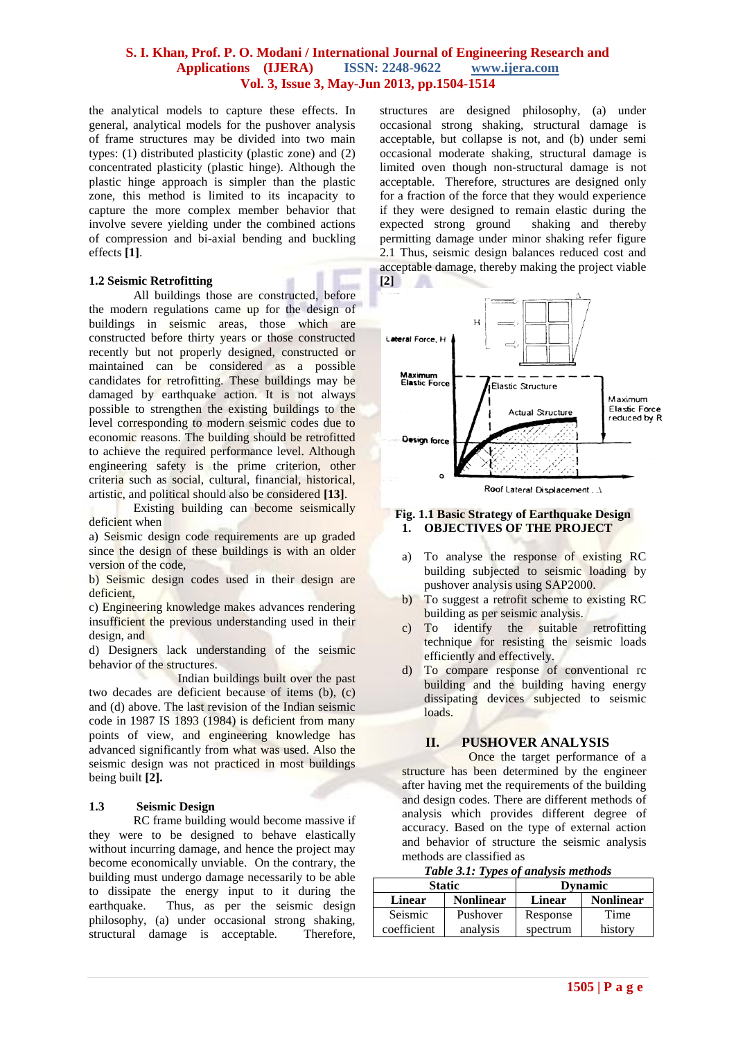the analytical models to capture these effects. In general, analytical models for the pushover analysis of frame structures may be divided into two main types: (1) distributed plasticity (plastic zone) and (2) concentrated plasticity (plastic hinge). Although the plastic hinge approach is simpler than the plastic zone, this method is limited to its incapacity to capture the more complex member behavior that involve severe yielding under the combined actions of compression and bi-axial bending and buckling effects **[1]**.

#### **1.2 Seismic Retrofitting**

All buildings those are constructed, before the modern regulations came up for the design of buildings in seismic areas, those which are constructed before thirty years or those constructed recently but not properly designed, constructed or maintained can be considered as a possible candidates for retrofitting. These buildings may be damaged by earthquake action. It is not always possible to strengthen the existing buildings to the level corresponding to modern seismic codes due to economic reasons. The building should be retrofitted to achieve the required performance level. Although engineering safety is the prime criterion, other criteria such as social, cultural, financial, historical, artistic, and political should also be considered **[13]**.

Existing building can become seismically deficient when

a) Seismic design code requirements are up graded since the design of these buildings is with an older version of the code,

b) Seismic design codes used in their design are deficient,

c) Engineering knowledge makes advances rendering insufficient the previous understanding used in their design, and

d) Designers lack understanding of the seismic behavior of the structures.

Indian buildings built over the past two decades are deficient because of items (b), (c) and (d) above. The last revision of the Indian seismic code in 1987 IS 1893 (1984) is deficient from many points of view, and engineering knowledge has advanced significantly from what was used. Also the seismic design was not practiced in most buildings being built **[2].**

#### **1.3 Seismic Design**

RC frame building would become massive if they were to be designed to behave elastically without incurring damage, and hence the project may become economically unviable. On the contrary, the building must undergo damage necessarily to be able to dissipate the energy input to it during the earthquake. Thus, as per the seismic design philosophy, (a) under occasional strong shaking, structural damage is acceptable. Therefore,

structures are designed philosophy, (a) under occasional strong shaking, structural damage is acceptable, but collapse is not, and (b) under semi occasional moderate shaking, structural damage is limited oven though non-structural damage is not acceptable. Therefore, structures are designed only for a fraction of the force that they would experience if they were designed to remain elastic during the expected strong ground shaking and thereby expected strong ground permitting damage under minor shaking refer figure 2.1 Thus, seismic design balances reduced cost and acceptable damage, thereby making the project viable **[2]**



Roof Lateral Displacement . J

#### **Fig. 1.1 Basic Strategy of Earthquake Design 1. OBJECTIVES OF THE PROJECT**

- a) To analyse the response of existing RC building subjected to seismic loading by pushover analysis using SAP2000.
- b) To suggest a retrofit scheme to existing RC building as per seismic analysis.
- c) To identify the suitable retrofitting technique for resisting the seismic loads efficiently and effectively.
- d) To compare response of conventional rc building and the building having energy dissipating devices subjected to seismic loads.

#### **II. PUSHOVER ANALYSIS**

Once the target performance of a structure has been determined by the engineer after having met the requirements of the building and design codes. There are different methods of analysis which provides different degree of accuracy. Based on the type of external action and behavior of structure the seismic analysis methods are classified as

*Table 3.1: Types of analysis methods*

|                        | <b>Static</b>    | <b>Dynamic</b> |                  |  |  |  |  |
|------------------------|------------------|----------------|------------------|--|--|--|--|
| <b>Linear</b>          | <b>Nonlinear</b> | Linear         | <b>Nonlinear</b> |  |  |  |  |
| Seismic<br>coefficient | Pushover         | Response       | Time             |  |  |  |  |
|                        | analysis         | spectrum       | history          |  |  |  |  |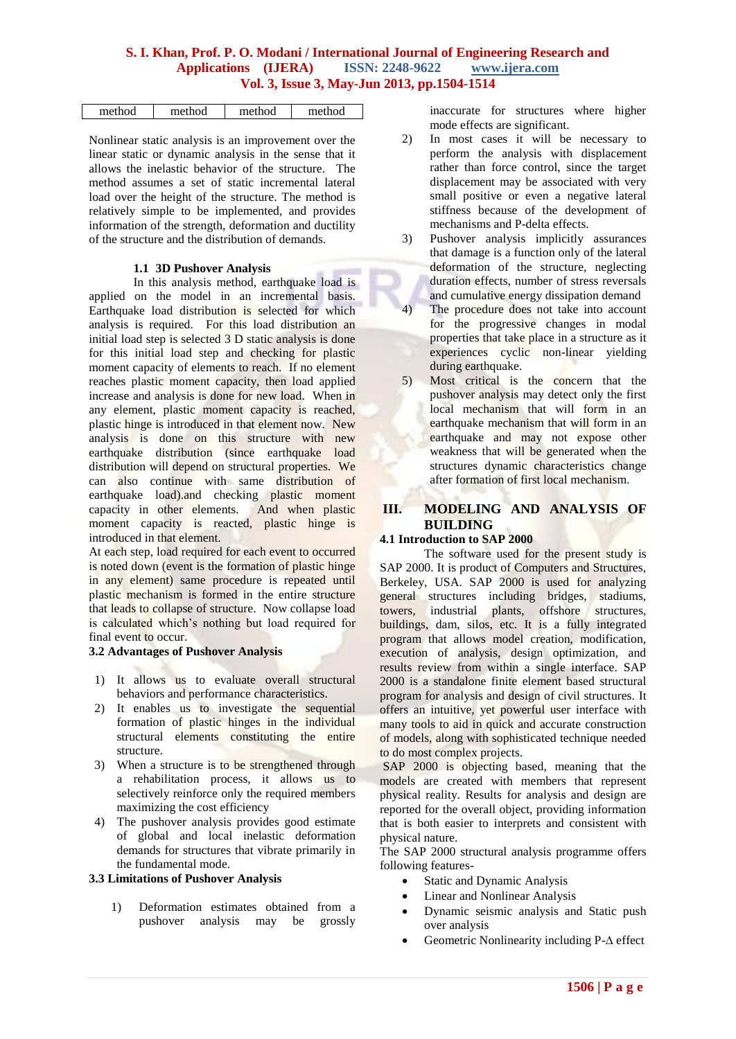| method | method | method | method |
|--------|--------|--------|--------|
|        |        |        |        |

Nonlinear static analysis is an improvement over the linear static or dynamic analysis in the sense that it allows the inelastic behavior of the structure. The method assumes a set of static incremental lateral load over the height of the structure. The method is relatively simple to be implemented, and provides information of the strength, deformation and ductility of the structure and the distribution of demands.

#### **1.1 3D Pushover Analysis**

In this analysis method, earthquake load is applied on the model in an incremental basis. Earthquake load distribution is selected for which analysis is required. For this load distribution an initial load step is selected 3 D static analysis is done for this initial load step and checking for plastic moment capacity of elements to reach. If no element reaches plastic moment capacity, then load applied increase and analysis is done for new load. When in any element, plastic moment capacity is reached, plastic hinge is introduced in that element now. New analysis is done on this structure with new earthquake distribution (since earthquake load distribution will depend on structural properties. We can also continue with same distribution of earthquake load).and checking plastic moment capacity in other elements. And when plastic moment capacity is reacted, plastic hinge is introduced in that element.

At each step, load required for each event to occurred is noted down (event is the formation of plastic hinge in any element) same procedure is repeated until plastic mechanism is formed in the entire structure that leads to collapse of structure. Now collapse load is calculated which's nothing but load required for final event to occur.

## **3.2 Advantages of Pushover Analysis**

- 1) It allows us to evaluate overall structural behaviors and performance characteristics.
- 2) It enables us to investigate the sequential formation of plastic hinges in the individual structural elements constituting the entire structure.
- 3) When a structure is to be strengthened through a rehabilitation process, it allows us to selectively reinforce only the required members maximizing the cost efficiency
- 4) The pushover analysis provides good estimate of global and local inelastic deformation demands for structures that vibrate primarily in the fundamental mode.

#### **3.3 Limitations of Pushover Analysis**

1) Deformation estimates obtained from a pushover analysis may be grossly

inaccurate for structures where higher mode effects are significant.

- 2) In most cases it will be necessary to perform the analysis with displacement rather than force control, since the target displacement may be associated with very small positive or even a negative lateral stiffness because of the development of mechanisms and P-delta effects.
- 3) Pushover analysis implicitly assurances that damage is a function only of the lateral deformation of the structure, neglecting duration effects, number of stress reversals and cumulative energy dissipation demand
- 4) The procedure does not take into account for the progressive changes in modal properties that take place in a structure as it experiences cyclic non-linear yielding during earthquake.
- 5) Most critical is the concern that the pushover analysis may detect only the first local mechanism that will form in an earthquake mechanism that will form in an earthquake and may not expose other weakness that will be generated when the structures dynamic characteristics change after formation of first local mechanism.

# **III. MODELING AND ANALYSIS OF BUILDING**

## **4.1 Introduction to SAP 2000**

The software used for the present study is SAP 2000. It is product of Computers and Structures, Berkeley, USA. SAP 2000 is used for analyzing general structures including bridges, stadiums, towers, industrial plants, offshore structures, buildings, dam, silos, etc. It is a fully integrated program that allows model creation, modification, execution of analysis, design optimization, and results review from within a single interface. SAP 2000 is a standalone finite element based structural program for analysis and design of civil structures. It offers an intuitive, yet powerful user interface with many tools to aid in quick and accurate construction of models, along with sophisticated technique needed to do most complex projects.

SAP 2000 is objecting based, meaning that the models are created with members that represent physical reality. Results for analysis and design are reported for the overall object, providing information that is both easier to interprets and consistent with physical nature.

The SAP 2000 structural analysis programme offers following features-

- Static and Dynamic Analysis
- Linear and Nonlinear Analysis
- Dynamic seismic analysis and Static push over analysis
- Geometric Nonlinearity including P-∆ effect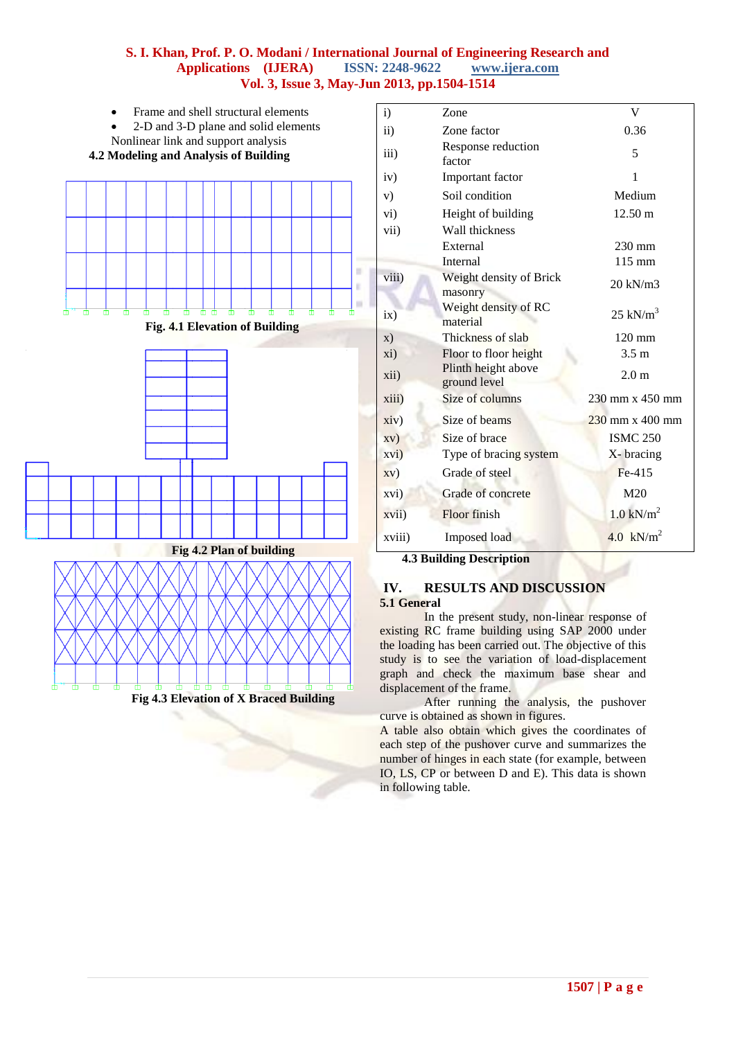

| i)                | Zone                                | V                                      |
|-------------------|-------------------------------------|----------------------------------------|
| $\mathbf{ii}$     | Zone factor                         | 0.36                                   |
| iii)              | Response reduction<br>factor        | 5                                      |
| iv)               | Important factor                    | 1                                      |
| V)                | Soil condition                      | Medium                                 |
| $\overline{vi}$ ) | Height of building                  | 12.50 m                                |
| vii)              | Wall thickness                      |                                        |
|                   | External                            | 230 mm                                 |
|                   | Internal                            | $115 \text{ mm}$                       |
| viii)             | Weight density of Brick<br>masonry  | 20 kN/m3                               |
| ix)               | Weight density of RC<br>material    | $25$ kN/m <sup>3</sup>                 |
| $\mathbf{x})$     | Thickness of slab                   | $120 \text{ mm}$                       |
| xi)               | Floor to floor height               | 3.5 <sub>m</sub>                       |
| xii)              | Plinth height above<br>ground level | 2.0 <sub>m</sub>                       |
| xiii)             | Size of columns                     | 230 mm x 450 mm                        |
| xiv)              | Size of beams                       | $230 \text{ mm} \times 400 \text{ mm}$ |
| xV)               | Size of brace                       | <b>ISMC 250</b>                        |
| xvi)              | Type of bracing system              | X-bracing                              |
| xv)               | Grade of steel                      | Fe-415                                 |
| xvi)              | Grade of concrete                   | M20                                    |
| xvii)             | Floor finish                        | $1.0$ kN/m <sup>2</sup>                |
| xviii)            | Imposed load                        | 4.0 $kN/m^2$                           |
|                   | 4.3 Ruilding Description            |                                        |

#### **4.3 Building Description**

#### **IV. RESULTS AND DISCUSSION 5.1 General**

In the present study, non-linear response of existing RC frame building using SAP 2000 under the loading has been carried out. The objective of this study is to see the variation of load-displacement graph and check the maximum base shear and displacement of the frame.

After running the analysis, the pushover curve is obtained as shown in figures.

A table also obtain which gives the coordinates of each step of the pushover curve and summarizes the number of hinges in each state (for example, between IO, LS, CP or between D and E). This data is shown in following table.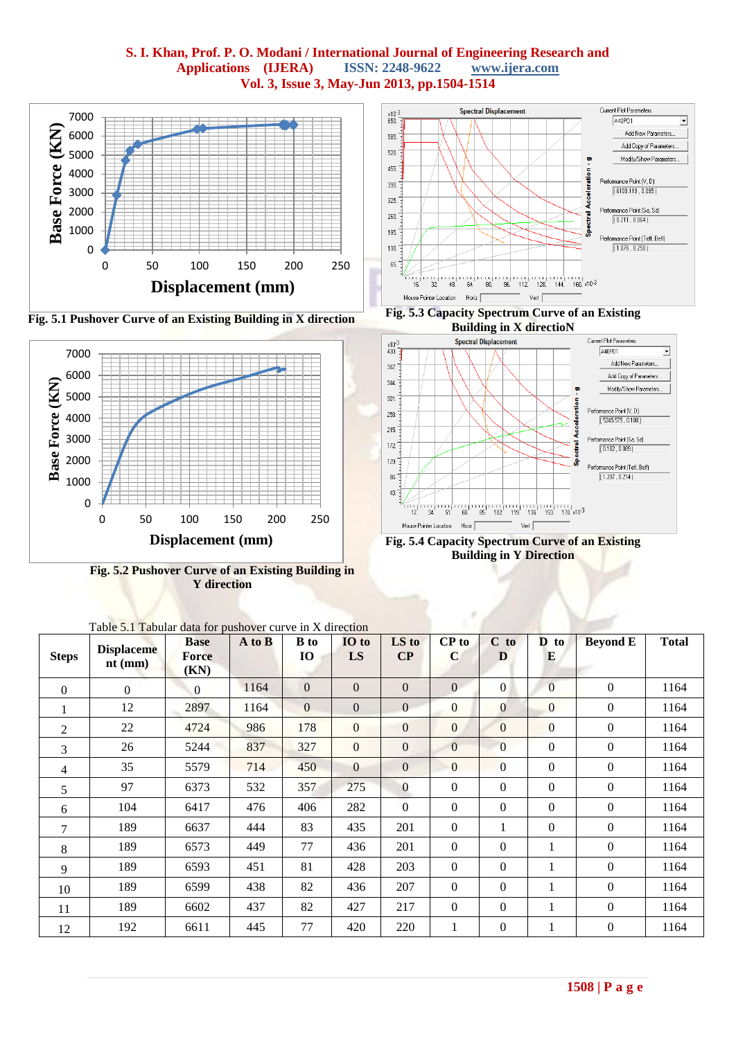



**Fig. 5.2 Pushover Curve of an Existing Building in Y direction**



ᅱ

**Fig. 5.4 Capacity Spectrum Curve of an Existing Building in Y Direction**

| <b>Steps</b>   | <b>Displaceme</b><br>$nt$ (mm) | <b>Base</b><br><b>Force</b> | A to B | <b>B</b> to<br><b>IO</b> | IO to<br>LS    | LS to<br>$\bf CP$ | CP to<br>$\mathbf C$ | $C$ to<br>D      | D to<br>E        | <b>Beyond E</b>  | <b>Total</b> |
|----------------|--------------------------------|-----------------------------|--------|--------------------------|----------------|-------------------|----------------------|------------------|------------------|------------------|--------------|
|                |                                | (KN)                        |        |                          |                |                   |                      |                  |                  |                  |              |
| $\theta$       | $\overline{0}$                 | $\Omega$                    | 1164   | $\boldsymbol{0}$         | $\mathbf{0}$   | $\overline{0}$    | $\overline{0}$       | $\overline{0}$   | $\overline{0}$   | $\boldsymbol{0}$ | 1164         |
| $\mathbf{1}$   | 12                             | 2897                        | 1164   | $\mathbf{0}$             | $\mathbf{0}$   | $\overline{0}$    | $\Omega$             | $\overline{0}$   | $\overline{0}$   | $\boldsymbol{0}$ | 1164         |
| 2              | 22                             | 4724                        | 986    | 178                      | $\overline{0}$ | $\overline{0}$    | $\mathbf{0}$         | $\overline{0}$   | $\mathbf{0}$     | $\boldsymbol{0}$ | 1164         |
| 3              | 26                             | 5244                        | 837    | 327                      | $\mathbf{0}$   | $\overline{0}$    | $\mathbf{0}$         | $\overline{0}$   | $\theta$         | $\Omega$         | 1164         |
| $\overline{4}$ | 35                             | 5579                        | 714    | 450                      | $\mathbf{0}$   | $\overline{0}$    | $\overline{0}$       | $\overline{0}$   | $\mathbf{0}$     | $\overline{0}$   | 1164         |
| 5              | 97                             | 6373                        | 532    | 357                      | 275            | $\mathbf{0}$      | $\Omega$             | $\Omega$         | $\Omega$         | $\overline{0}$   | 1164         |
| 6              | 104                            | 6417                        | 476    | 406                      | 282            | $\overline{0}$    | $\boldsymbol{0}$     | $\overline{0}$   | $\boldsymbol{0}$ | $\boldsymbol{0}$ | 1164         |
| 7              | 189                            | 6637                        | 444    | 83                       | 435            | 201               | $\boldsymbol{0}$     | 1                | $\theta$         | $\boldsymbol{0}$ | 1164         |
| 8              | 189                            | 6573                        | 449    | 77                       | 436            | 201               | $\Omega$             | $\overline{0}$   | 1                | $\Omega$         | 1164         |
| 9              | 189                            | 6593                        | 451    | 81                       | 428            | 203               | $\boldsymbol{0}$     | $\boldsymbol{0}$ | 1                | $\boldsymbol{0}$ | 1164         |
| 10             | 189                            | 6599                        | 438    | 82                       | 436            | 207               | $\Omega$             | $\Omega$         | 1                | $\Omega$         | 1164         |
| 11             | 189                            | 6602                        | 437    | 82                       | 427            | 217               | $\boldsymbol{0}$     | $\mathbf{0}$     | 1                | $\boldsymbol{0}$ | 1164         |
| 12             | 192                            | 6611                        | 445    | 77                       | 420            | 220               | 1                    | $\boldsymbol{0}$ | 1                | $\boldsymbol{0}$ | 1164         |

Table 5.1 Tabular data for pushover curve in Y direction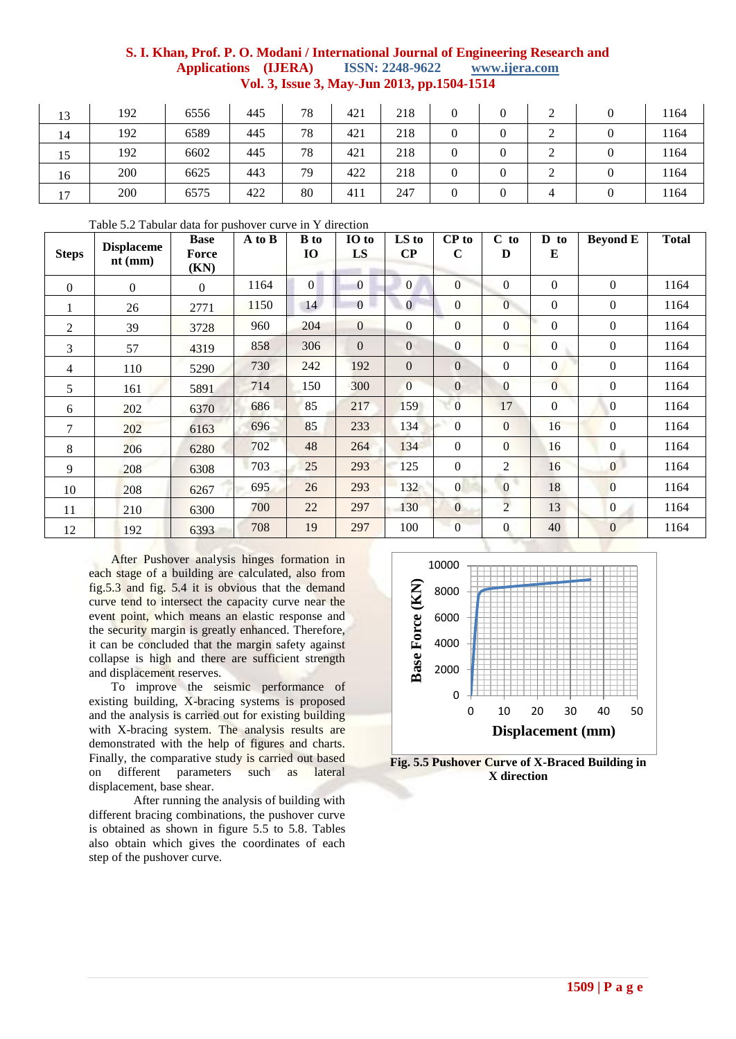| 13 | 192 | 6556 | 445 | 78 | 421 | 218 |   |   | 1164 |
|----|-----|------|-----|----|-----|-----|---|---|------|
| 14 | 192 | 6589 | 445 | 78 | 421 | 218 |   |   | 1164 |
| 15 | 192 | 6602 | 445 | 78 | 421 | 218 | 0 |   | 1164 |
| 16 | 200 | 6625 | 443 | 79 | 422 | 218 | 0 |   | 1164 |
| 17 | 200 | 6575 | 422 | 80 | 411 | 247 |   | 4 | 1164 |

|  |  | Table 5.2 Tabular data for pushover curve in Y direction |
|--|--|----------------------------------------------------------|
|--|--|----------------------------------------------------------|

| <b>Steps</b>   | <b>Displaceme</b><br>$nt$ (mm) | <b>Base</b><br>Force<br>(KN) | A to B | <b>B</b> to<br><b>IO</b> | IO to<br>LS      | LS to<br>$\bf CP$ | CP to<br>$\mathbf C$ | $C$ to<br>D    | $\mathbf{D}$ to<br>${\bf E}$ | <b>Beyond E</b>  | <b>Total</b> |
|----------------|--------------------------------|------------------------------|--------|--------------------------|------------------|-------------------|----------------------|----------------|------------------------------|------------------|--------------|
| $\Omega$       | $\Omega$                       | $\Omega$                     | 1164   | $\vert 0 \vert$          | $\mathbf{0}$     | $\overline{0}$    | $\overline{0}$       | $\mathbf{0}$   | $\overline{0}$               | $\boldsymbol{0}$ | 1164         |
| 1              | 26                             | 2771                         | 1150   | 14                       | $\Omega$         | $\overline{0}$    | $\Omega$             | $\overline{0}$ | $\overline{0}$               | $\boldsymbol{0}$ | 1164         |
| $\overline{2}$ | 39                             | 3728                         | 960    | 204                      | $\boldsymbol{0}$ | $\boldsymbol{0}$  | $\overline{0}$       | $\mathbf{0}$   | $\boldsymbol{0}$             | $\boldsymbol{0}$ | 1164         |
| 3              | 57                             | 4319                         | 858    | 306                      | $\Omega$         | $\mathbf{0}$      | $\Omega$             | $\Omega$       | $\Omega$                     | $\boldsymbol{0}$ | 1164         |
| $\overline{4}$ | 110                            | 5290                         | 730    | 242                      | 192              | $\mathbf{0}$      | $\Omega$             | $\mathbf{0}$   | $\boldsymbol{0}$             | $\boldsymbol{0}$ | 1164         |
| 5              | 161                            | 5891                         | 714    | 150                      | 300              | $\Omega$          | $\theta$             | $\Omega$       | $\overline{0}$               | $\boldsymbol{0}$ | 1164         |
| 6              | 202                            | 6370                         | 686    | 85                       | 217              | 159               | $\mathbf{0}$         | 17             | $\mathbf{0}$                 | $\mathbf{0}$     | 1164         |
| 7              | 202                            | 6163                         | 696    | 85                       | 233              | 134               | $\Omega$             | $\overline{0}$ | 16                           | $\mathbf{0}$     | 1164         |
| 8              | 206                            | 6280                         | 702    | 48                       | 264              | 134               | $\Omega$             | $\mathbf{0}$   | 16                           | $\mathbf{0}$     | 1164         |
| 9              | 208                            | 6308                         | 703    | 25                       | 293              | 125               | $\boldsymbol{0}$     | 2              | 16                           | $\mathbf{0}$     | 1164         |
| 10             | 208                            | 6267                         | 695    | 26                       | 293              | 132               | $\Omega$             | $\mathbf{0}$   | 18                           | $\overline{0}$   | 1164         |
| 11             | 210                            | 6300                         | 700    | 22                       | 297              | 130               | $\mathbf{0}$         | $\overline{2}$ | 13                           | $\overline{0}$   | 1164         |
| 12             | 192                            | 6393                         | 708    | 19                       | 297              | 100               | $\overline{0}$       | $\bf{0}$       | 40                           | $\mathbf{0}$     | 1164         |

After Pushover analysis hinges formation in each stage of a building are calculated, also from fig.5.3 and fig. 5.4 it is obvious that the demand curve tend to intersect the capacity curve near the event point, which means an elastic response and the security margin is greatly enhanced. Therefore, it can be concluded that the margin safety against collapse is high and there are sufficient strength and displacement reserves.

To improve the seismic performance of existing building, X-bracing systems is proposed and the analysis is carried out for existing building with X-bracing system. The analysis results are demonstrated with the help of figures and charts. Finally, the comparative study is carried out based on different parameters such as lateral displacement, base shear.

After running the analysis of building with different bracing combinations, the pushover curve is obtained as shown in figure 5.5 to 5.8. Tables also obtain which gives the coordinates of each step of the pushover curve.



**Fig. 5.5 Pushover Curve of X-Braced Building in X direction**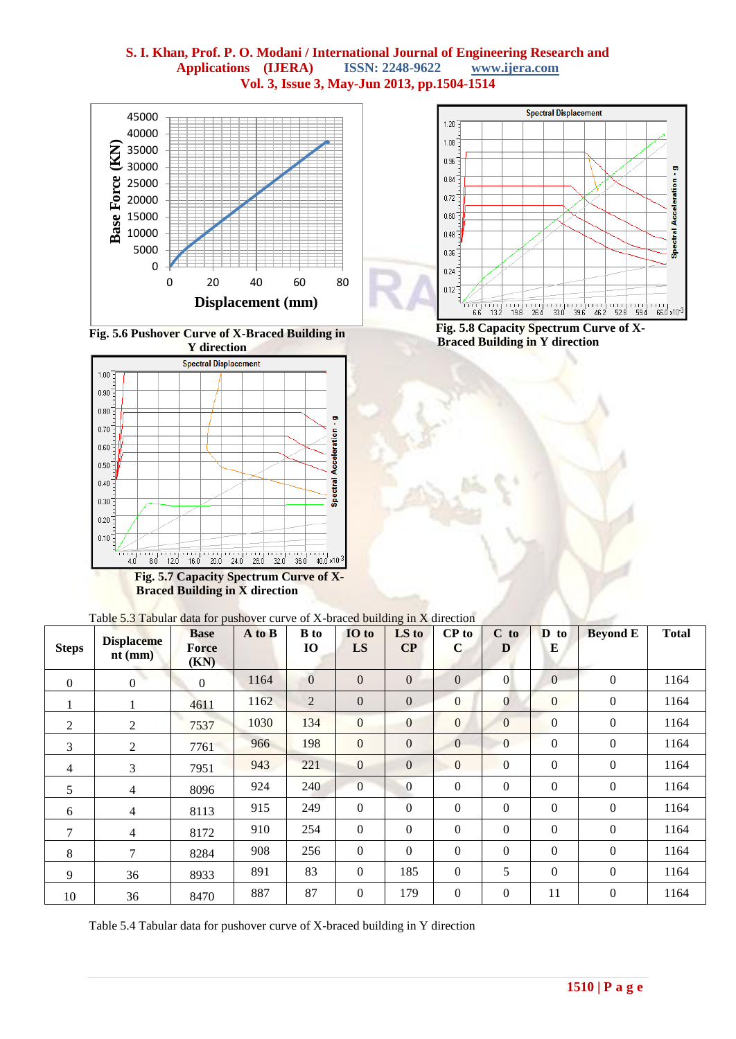





**Braced Building in X direction**



**Fig. 5.8 Capacity Spectrum Curve of X-Braced Building in Y direction**

| Table 5.3 Tabular data for pushover curve of X-braced building in X direction |  |
|-------------------------------------------------------------------------------|--|
|-------------------------------------------------------------------------------|--|

| <b>Steps</b>     | <b>Displaceme</b><br>$nt$ (mm) | <b>Base</b><br>Force<br>(KN) | A to B | <b>B</b> to<br><b>IO</b> | IO to<br>LS      | O.<br>LS to<br>$\bf CP$ | $CP$ to<br>$\mathbf C$ | $C$ to<br>D      | D to<br>E        | <b>Beyond E</b>  | <b>Total</b> |
|------------------|--------------------------------|------------------------------|--------|--------------------------|------------------|-------------------------|------------------------|------------------|------------------|------------------|--------------|
| $\boldsymbol{0}$ | $\boldsymbol{0}$               | $\overline{0}$               | 1164   | $\overline{0}$           | $\overline{0}$   | $\overline{0}$          | $\mathbf{0}$           | $\overline{0}$   | $\Omega$         | $\boldsymbol{0}$ | 1164         |
|                  | 1                              | 4611                         | 1162   | $\overline{2}$           | $\mathbf{0}$     | $\mathbf{0}$            | $\overline{0}$         | $\overline{0}$   | $\mathbf{0}$     | $\overline{0}$   | 1164         |
| 2                | $\overline{2}$                 | 7537                         | 1030   | 134                      | $\overline{0}$   | $\mathbf{0}$            | $\mathbf{0}$           | $\overline{0}$   | $\mathbf{0}$     | $\boldsymbol{0}$ | 1164         |
| 3                | 2                              | 7761                         | 966    | 198                      | $\mathbf{0}$     | $\mathbf{0}$            | $\mathbf{0}$           | $\overline{0}$   | $\mathbf{0}$     | $\mathbf{0}$     | 1164         |
| $\overline{4}$   | 3                              | 7951                         | 943    | 221                      | $\mathbf{0}$     | $\mathbf{0}$            | $\overline{0}$         | $\boldsymbol{0}$ | $\boldsymbol{0}$ | $\boldsymbol{0}$ | 1164         |
| 5                | $\overline{4}$                 | 8096                         | 924    | 240                      | $\mathbf{0}$     | $\mathbf{0}$            | $\boldsymbol{0}$       | 0                | $\boldsymbol{0}$ | $\boldsymbol{0}$ | 1164         |
| 6                | $\overline{4}$                 | 8113                         | 915    | 249                      | $\mathbf{0}$     | $\boldsymbol{0}$        | $\Omega$               | $\boldsymbol{0}$ | $\mathbf{0}$     | $\mathbf{0}$     | 1164         |
| $\tau$           | $\overline{4}$                 | 8172                         | 910    | 254                      | $\mathbf{0}$     | $\boldsymbol{0}$        | $\Omega$               | $\boldsymbol{0}$ | $\Omega$         | $\boldsymbol{0}$ | 1164         |
| 8                | $\overline{7}$                 | 8284                         | 908    | 256                      | $\mathbf{0}$     | $\boldsymbol{0}$        | $\overline{0}$         | $\mathbf{0}$     | $\mathbf{0}$     | $\mathbf{0}$     | 1164         |
| 9                | 36                             | 8933                         | 891    | 83                       | $\mathbf{0}$     | 185                     | $\boldsymbol{0}$       | 5                | $\mathbf{0}$     | $\boldsymbol{0}$ | 1164         |
| 10               | 36                             | 8470                         | 887    | 87                       | $\boldsymbol{0}$ | 179                     | $\boldsymbol{0}$       | 0                | 11               | $\boldsymbol{0}$ | 1164         |

Table 5.4 Tabular data for pushover curve of X-braced building in Y direction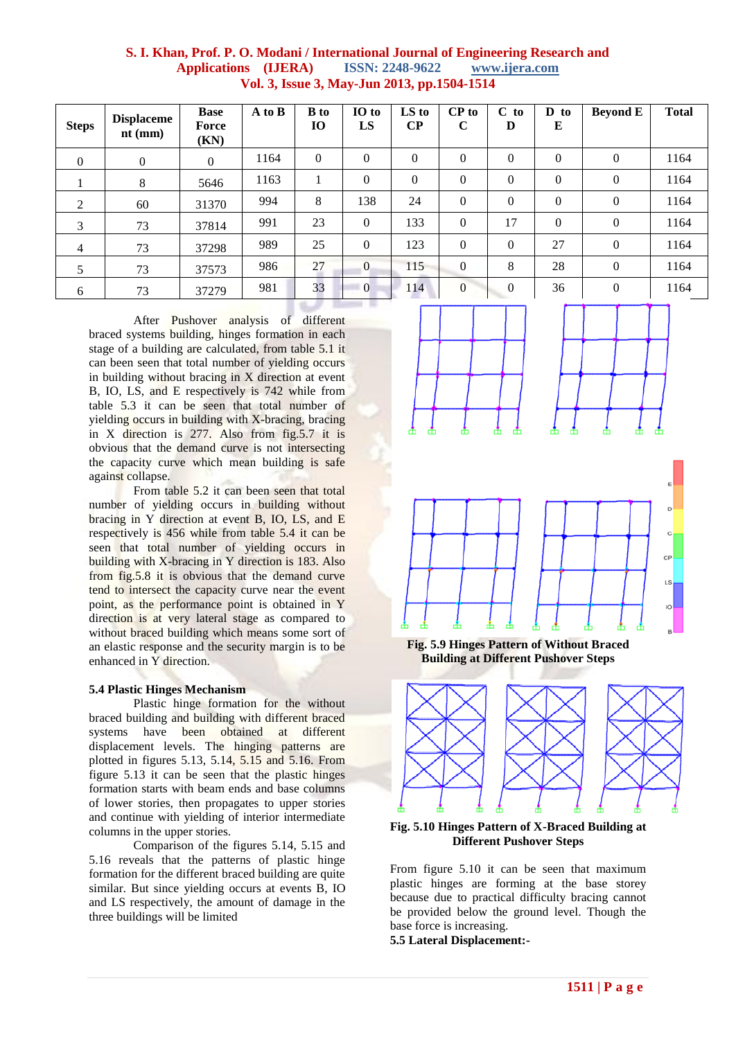|                                      |                                             | S. I. Khan, Prof. P. O. Modani / International Journal of Engineering Research and |
|--------------------------------------|---------------------------------------------|------------------------------------------------------------------------------------|
| <b>Applications</b> ( <b>IJERA</b> ) | <b>ISSN: 2248-9622</b> www.ijera.com        |                                                                                    |
|                                      | Vol. 3, Issue 3, May-Jun 2013, pp.1504-1514 |                                                                                    |

| <b>Steps</b>   | <b>Displaceme</b><br>$nt$ (mm) | <b>Base</b><br>Force<br>(KN) | A to B | <b>B</b> to<br><b>IO</b> | IO to<br>LS    | LS to<br>$\bf CP$ | CP to<br>$\mathbf C$ | $C$ to<br>D    | D<br>to<br>E | <b>Beyond E</b> | <b>Total</b> |
|----------------|--------------------------------|------------------------------|--------|--------------------------|----------------|-------------------|----------------------|----------------|--------------|-----------------|--------------|
| $\mathbf{0}$   | $\mathbf{0}$                   | $\theta$                     | 1164   | $\overline{0}$           | $\theta$       | $\theta$          | $\theta$             | $\overline{0}$ | $\theta$     | $\mathbf{0}$    | 1164         |
|                | 8                              | 5646                         | 1163   |                          | $\theta$       | $\overline{0}$    | $\theta$             | 0              | $\theta$     | $\overline{0}$  | 1164         |
| 2              | 60                             | 31370                        | 994    | 8                        | 138            | 24                | $\mathbf{0}$         | 0              | $\theta$     | $\overline{0}$  | 1164         |
| 3              | 73                             | 37814                        | 991    | 23                       | $\overline{0}$ | 133               | $\mathbf{0}$         | 17             | $\theta$     | $\mathbf{0}$    | 1164         |
| $\overline{4}$ | 73                             | 37298                        | 989    | 25                       | $\theta$       | 123               | $\mathbf{0}$         | 0              | 27           | $\overline{0}$  | 1164         |
|                | 73                             | 37573                        | 986    | 27                       | $\overline{0}$ | 115               | $\theta$             | 8              | 28           | $\overline{0}$  | 1164         |
| 6              | 73                             | 37279                        | 981    | 33                       | $\overline{0}$ | 114               | $\overline{0}$       | $\theta$       | 36           | $\overline{0}$  | 1164         |

After Pushover analysis of different braced systems building, hinges formation in each stage of a building are calculated, from table 5.1 it can been seen that total number of yielding occurs in building without bracing in X direction at event B, IO, LS, and E respectively is 742 while from table 5.3 it can be seen that total number of yielding occurs in building with X-bracing, bracing in X direction is 277. Also from fig.5.7 it is obvious that the demand curve is not intersecting the capacity curve which mean building is safe against collapse.

From table 5.2 it can been seen that total number of yielding occurs in building without bracing in Y direction at event B, IO, LS, and E respectively is 456 while from table 5.4 it can be seen that total number of yielding occurs in building with X-bracing in Y direction is 183. Also from fig.5.8 it is obvious that the demand curve tend to intersect the capacity curve near the event point, as the performance point is obtained in Y direction is at very lateral stage as compared to without braced building which means some sort of an elastic response and the security margin is to be enhanced in Y direction.

#### **5.4 Plastic Hinges Mechanism**

Plastic hinge formation for the without braced building and building with different braced systems have been obtained at different displacement levels. The hinging patterns are plotted in figures 5.13, 5.14, 5.15 and 5.16. From figure 5.13 it can be seen that the plastic hinges formation starts with beam ends and base columns of lower stories, then propagates to upper stories and continue with yielding of interior intermediate columns in the upper stories.

Comparison of the figures 5.14, 5.15 and 5.16 reveals that the patterns of plastic hinge formation for the different braced building are quite similar. But since yielding occurs at events B, IO and LS respectively, the amount of damage in the three buildings will be limited





**Fig. 5.9 Hinges Pattern of Without Braced Building at Different Pushover Steps**



**Fig. 5.10 Hinges Pattern of X-Braced Building at Different Pushover Steps**

From figure 5.10 it can be seen that maximum plastic hinges are forming at the base storey because due to practical difficulty bracing cannot be provided below the ground level. Though the base force is increasing.

**5.5 Lateral Displacement:-**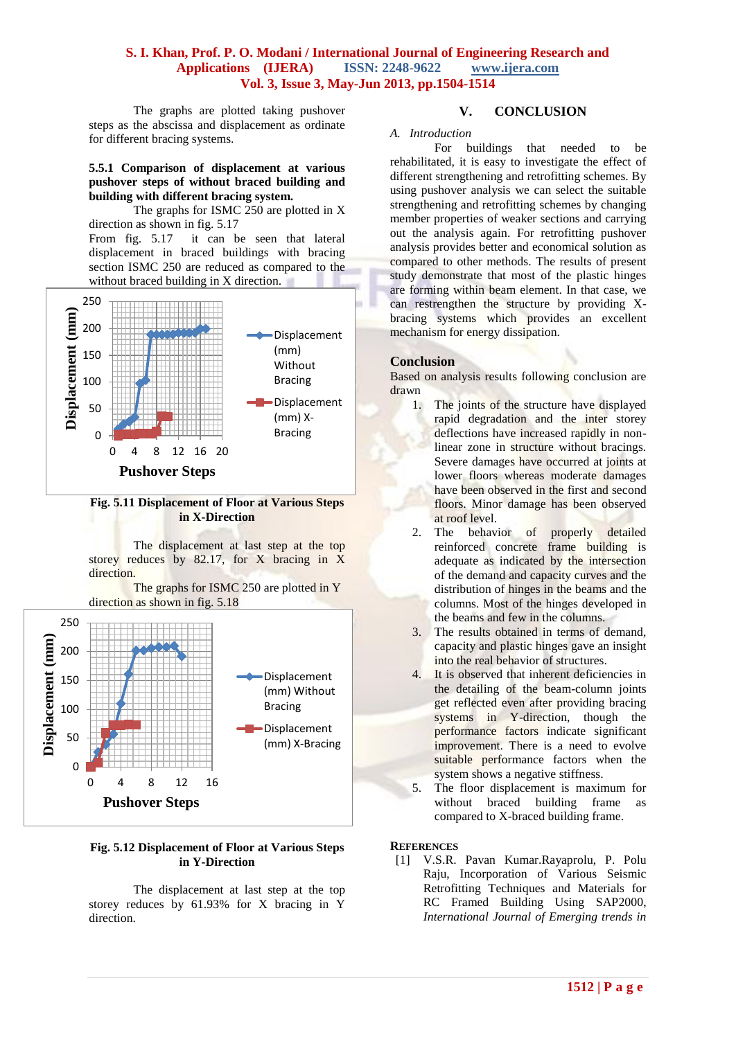The graphs are plotted taking pushover steps as the abscissa and displacement as ordinate for different bracing systems.

#### **5.5.1 Comparison of displacement at various pushover steps of without braced building and building with different bracing system.**

The graphs for ISMC  $250$  are plotted in X direction as shown in fig. 5.17

From fig. 5.17 it can be seen that lateral displacement in braced buildings with bracing section ISMC 250 are reduced as compared to the without braced building in X direction.



#### **Fig. 5.11 Displacement of Floor at Various Steps in X-Direction**

The displacement at last step at the top storey reduces by 82.17, for X bracing in X direction.

The graphs for ISMC 250 are plotted in Y direction as shown in fig. 5.18



#### **Fig. 5.12 Displacement of Floor at Various Steps in Y-Direction**

The displacement at last step at the top storey reduces by 61.93% for X bracing in Y direction.

## **V. CONCLUSION**

#### *A. Introduction*

For buildings that needed to be rehabilitated, it is easy to investigate the effect of different strengthening and retrofitting schemes. By using pushover analysis we can select the suitable strengthening and retrofitting schemes by changing member properties of weaker sections and carrying out the analysis again. For retrofitting pushover analysis provides better and economical solution as compared to other methods. The results of present study demonstrate that most of the plastic hinges are forming within beam element. In that case, we can restrengthen the structure by providing Xbracing systems which provides an excellent mechanism for energy dissipation.

#### **Conclusion**

Based on analysis results following conclusion are drawn

- 1. The joints of the structure have displayed rapid degradation and the inter storey deflections have increased rapidly in nonlinear zone in structure without bracings. Severe damages have occurred at joints at lower floors whereas moderate damages have been observed in the first and second floors. Minor damage has been observed at roof level.
- 2. The behavior of properly detailed reinforced concrete frame building is adequate as indicated by the intersection of the demand and capacity curves and the distribution of hinges in the beams and the columns. Most of the hinges developed in the beams and few in the columns.
- 3. The results obtained in terms of demand, capacity and plastic hinges gave an insight into the real behavior of structures.
- 4. It is observed that inherent deficiencies in the detailing of the beam-column joints get reflected even after providing bracing systems in Y-direction, though the performance factors indicate significant improvement. There is a need to evolve suitable performance factors when the system shows a negative stiffness.
- 5. The floor displacement is maximum for without braced building frame as compared to X-braced building frame.

**REFERENCES**

[1] V.S.R. Pavan Kumar.Rayaprolu, P. Polu Raju, Incorporation of Various Seismic Retrofitting Techniques and Materials for RC Framed Building Using SAP2000, *International Journal of Emerging trends in*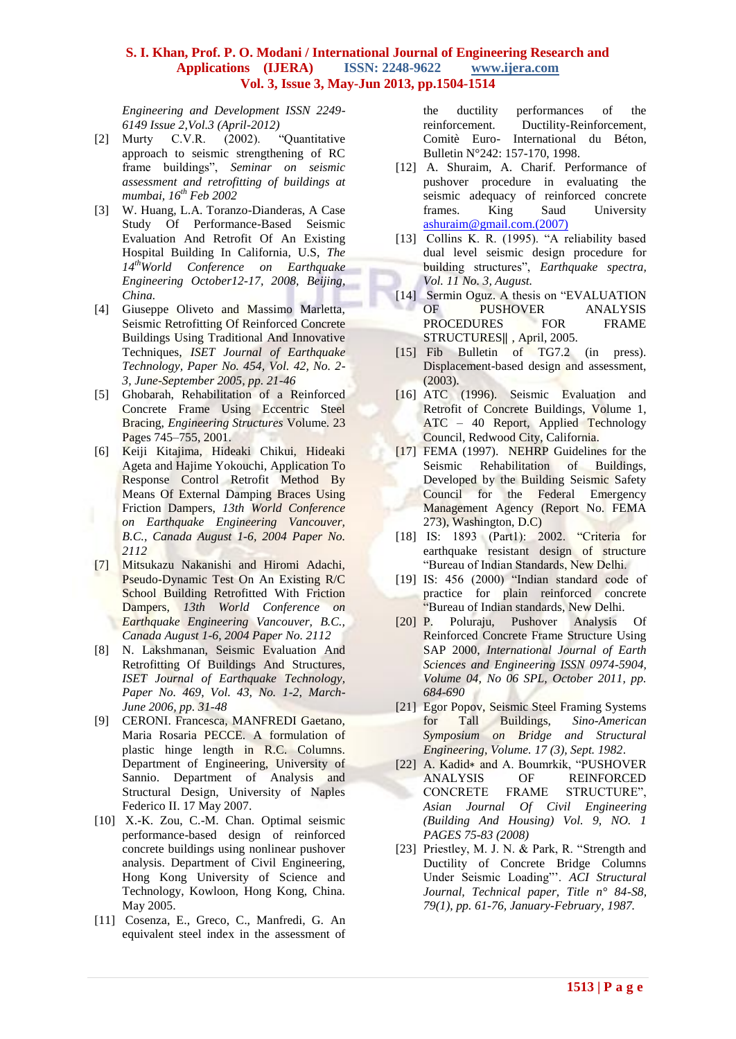*Engineering and Development ISSN 2249- 6149 Issue 2,Vol.3 (April-2012)*

- [2] Murty C.V.R. (2002). "Quantitative approach to seismic strengthening of RC frame buildings", *Seminar on seismic assessment and retrofitting of buildings at mumbai, 16th Feb 2002*
- [3] W. Huang, L.A. Toranzo-Dianderas, A Case Study Of Performance-Based Seismic Evaluation And Retrofit Of An Existing Hospital Building In California, U.S, *The 14thWorld Conference on Earthquake Engineering October12-17, 2008, Beijing, China.*
- [4] Giuseppe Oliveto and Massimo Marletta, Seismic Retrofitting Of Reinforced Concrete Buildings Using Traditional And Innovative Techniques, *ISET Journal of Earthquake Technology, Paper No. 454, Vol. 42, No. 2- 3, June-September 2005, pp. 21-46*
- [5] Ghobarah, Rehabilitation of a Reinforced Concrete Frame Using Eccentric Steel Bracing, *Engineering Structures* Volume. 23 Pages 745–755, 2001.
- [6] Keiji Kitajima, Hideaki Chikui, Hideaki Ageta and Hajime Yokouchi, Application To Response Control Retrofit Method By Means Of External Damping Braces Using Friction Dampers, *13th World Conference on Earthquake Engineering Vancouver, B.C., Canada August 1-6, 2004 Paper No. 2112*
- [7] Mitsukazu Nakanishi and Hiromi Adachi, Pseudo-Dynamic Test On An Existing R/C School Building Retrofitted With Friction Dampers, *13th World Conference on Earthquake Engineering Vancouver, B.C., Canada August 1-6, 2004 Paper No. 2112*
- [8] N. Lakshmanan, Seismic Evaluation And Retrofitting Of Buildings And Structures, *ISET Journal of Earthquake Technology, Paper No. 469, Vol. 43, No. 1-2, March-June 2006, pp. 31-48*
- [9] CERONI. Francesca, MANFREDI Gaetano, Maria Rosaria PECCE. A formulation of plastic hinge length in R.C. Columns. Department of Engineering, University of Sannio. Department of Analysis and Structural Design, University of Naples Federico II. 17 May 2007.
- [10] X.-K. Zou, C.-M. Chan. Optimal seismic performance-based design of reinforced concrete buildings using nonlinear pushover analysis. Department of Civil Engineering, Hong Kong University of Science and Technology, Kowloon, Hong Kong, China. May 2005.
- [11] Cosenza, E., Greco, C., Manfredi, G. An equivalent steel index in the assessment of

the ductility performances of the reinforcement. Ductility-Reinforcement, Comitè Euro- International du Béton, Bulletin N°242: 157-170, 1998.

- [12] A. Shuraim, A. Charif. Performance of pushover procedure in evaluating the seismic adequacy of reinforced concrete frames. King Saud University [ashuraim@gmail.com.\(2007\)](mailto:ashuraim@gmail.com.(2007))
- [13] Collins K. R. (1995). "A reliability based dual level seismic design procedure for building structures", *Earthquake spectra, Vol. 11 No. 3, August.*
- [14] Sermin Oguz. A thesis on "EVALUATION" OF PUSHOVER ANALYSIS PROCEDURES FOR FRAME STRUCTURES‖ , April, 2005.
- [15] Fib Bulletin of TG7.2 (in press). Displacement-based design and assessment, (2003).
- [16] ATC (1996). Seismic Evaluation and Retrofit of Concrete Buildings, Volume 1, ATC – 40 Report, Applied Technology Council, Redwood City, California.
- [17] FEMA (1997). NEHRP Guidelines for the Seismic Rehabilitation of Buildings, Developed by the Building Seismic Safety Council for the Federal Emergency Management Agency (Report No. FEMA 273), Washington, D.C)
- [18] IS: 1893 (Part1): 2002. "Criteria for earthquake resistant design of structure "Bureau of Indian Standards, New Delhi.
- [19] IS: 456 (2000) "Indian standard code of practice for plain reinforced concrete "Bureau of Indian standards, New Delhi.
- [20] P. Poluraju, Pushover Analysis Of Reinforced Concrete Frame Structure Using SAP 2000, *International Journal of Earth Sciences and Engineering ISSN 0974-5904, Volume 04, No 06 SPL, October 2011, pp. 684-690*
- [21] Egor Popov, Seismic Steel Framing Systems for Tall Buildings, *Sino-American Symposium on Bridge and Structural Engineering, Volume. 17 (3), Sept. 1982*.
- [22] A. Kadid∗ and A. Boumrkik, "PUSHOVER ANALYSIS OF REINFORCED CONCRETE FRAME STRUCTURE", *Asian Journal Of Civil Engineering (Building And Housing) Vol. 9, NO. 1 PAGES 75-83 (2008)*
- [23] Priestley, M. J. N. & Park, R. "Strength and Ductility of Concrete Bridge Columns Under Seismic Loading"'. *ACI Structural Journal, Technical paper, Title n° 84-S8, 79(1), pp. 61-76, January-February, 1987.*